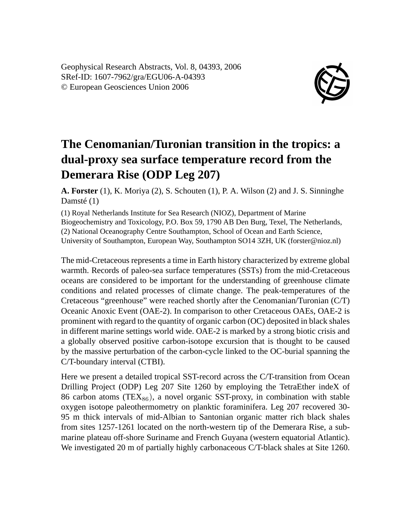Geophysical Research Abstracts, Vol. 8, 04393, 2006 SRef-ID: 1607-7962/gra/EGU06-A-04393 © European Geosciences Union 2006



## **The Cenomanian/Turonian transition in the tropics: a dual-proxy sea surface temperature record from the Demerara Rise (ODP Leg 207)**

**A. Forster** (1), K. Moriya (2), S. Schouten (1), P. A. Wilson (2) and J. S. Sinninghe Damsté (1)

(1) Royal Netherlands Institute for Sea Research (NIOZ), Department of Marine Biogeochemistry and Toxicology, P.O. Box 59, 1790 AB Den Burg, Texel, The Netherlands, (2) National Oceanography Centre Southampton, School of Ocean and Earth Science, University of Southampton, European Way, Southampton SO14 3ZH, UK (forster@nioz.nl)

The mid-Cretaceous represents a time in Earth history characterized by extreme global warmth. Records of paleo-sea surface temperatures (SSTs) from the mid-Cretaceous oceans are considered to be important for the understanding of greenhouse climate conditions and related processes of climate change. The peak-temperatures of the Cretaceous "greenhouse" were reached shortly after the Cenomanian/Turonian (C/T) Oceanic Anoxic Event (OAE-2). In comparison to other Cretaceous OAEs, OAE-2 is prominent with regard to the quantity of organic carbon (OC) deposited in black shales in different marine settings world wide. OAE-2 is marked by a strong biotic crisis and a globally observed positive carbon-isotope excursion that is thought to be caused by the massive perturbation of the carbon-cycle linked to the OC-burial spanning the C/T-boundary interval (CTBI).

Here we present a detailed tropical SST-record across the C/T-transition from Ocean Drilling Project (ODP) Leg 207 Site 1260 by employing the TetraEther indeX of 86 carbon atoms  $(TEX_{86})$ , a novel organic SST-proxy, in combination with stable oxygen isotope paleothermometry on planktic foraminifera. Leg 207 recovered 30- 95 m thick intervals of mid-Albian to Santonian organic matter rich black shales from sites 1257-1261 located on the north-western tip of the Demerara Rise, a submarine plateau off-shore Suriname and French Guyana (western equatorial Atlantic). We investigated 20 m of partially highly carbonaceous C/T-black shales at Site 1260.